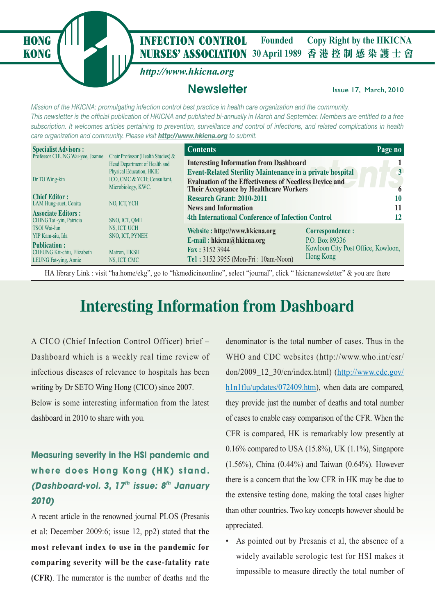**NURSES' ASSOCIATION** 30 April 1989 香港控制感染護士會 **HONG** *I***III INFECTION CONTROL** Founded Copy Right by the HKICNA **Founded**

*http://www.hkicna.org*

#### **Newsletter Issue 17, March, 2010**

*Mission of the HKICNA: promulgating infection control best practice in health care organization and the community. This newsletter is the official publication of HKICNA and published bi-annually in March and September. Members are entitled to a free subscription. It welcomes articles pertaining to prevention, surveillance and control of infections, and related complications in health care organization and community. Please visit http://www.hkicna.org to submit.*

| <b>Specialist Advisors:</b>                                                |                                                                     | <b>Contents</b>                                                                                                |                                                 | Page no |
|----------------------------------------------------------------------------|---------------------------------------------------------------------|----------------------------------------------------------------------------------------------------------------|-------------------------------------------------|---------|
| Professor CHUNG Wai-yee, Joanne                                            | Chair Professor (Health Studies) &<br>Head Department of Health and | <b>Interesting Information from Dashboard</b>                                                                  |                                                 |         |
|                                                                            | <b>Physical Education, HKIE</b>                                     | <b>Event-Related Sterility Maintenance in a private hospital</b>                                               |                                                 | 3       |
| Dr TO Wing-kin                                                             | ICO, CMC & YCH; Consultant,<br>Microbiology, KWC.                   | <b>Evaluation of the Effectiveness of Needless Device and</b><br><b>Their Acceptance by Healthcare Workers</b> |                                                 | 6       |
| <b>Chief Editor:</b>                                                       |                                                                     | <b>Research Grant: 2010-2011</b>                                                                               |                                                 | 10      |
| LAM Hung-suet, Conita                                                      | NO, ICT, YCH                                                        | <b>News and Information</b>                                                                                    |                                                 | 11      |
| <b>Associate Editors:</b><br>CHING Tai -yin, Patricia                      | SNO, ICT, OMH                                                       | <b>4th International Conference of Infection Control</b>                                                       |                                                 | 12      |
| <b>TSOI</b> Wai-lun                                                        | NS, ICT, UCH                                                        | Website: http://www.hkicna.org                                                                                 | <b>Correspondence:</b>                          |         |
| YIP Kam-siu, Ida                                                           | <b>SNO, ICT, PYNEH</b>                                              | E-mail: $hkicna@hkicna.org$                                                                                    | P.O. Box 89336                                  |         |
| <b>Publication:</b><br>CHEUNG Kit-chiu, Elizabeth<br>LEUNG Fat-ying, Annie | Matron, HKSH<br>NS, ICT, CMC                                        | $\text{Fax}: 31523944$<br>Tel: 3152 3955 (Mon-Fri: 10am-Noon)                                                  | Kowloon City Post Office, Kowloon,<br>Hong Kong |         |

HA library Link : visit "ha.home/ekg", go to "hkmedicineonline", select "journal", click " hkicnanewsletter" & you are there

### **Interesting Information from Dashboard**

A CICO (Chief Infection Control Officer) brief – Dashboard which is a weekly real time review of infectious diseases of relevance to hospitals has been writing by Dr SETO Wing Hong (CICO) since 2007.

**KONG**

Below is some interesting information from the latest dashboard in 2010 to share with you.

#### **Measuring severity in the HSI pandemic and w here does Hong Kong (HK) stand.**  *(Dashboard-vol. 3, 17th issue: 8th January 2010)*

A recent article in the renowned journal PLOS (Presanis et al: December 2009:6; issue 12, pp2) stated that **the most relevant index to use in the pandemic for comparing severity will be the case-fatality rate (CFR)**. The numerator is the number of deaths and the

denominator is the total number of cases. Thus in the WHO and CDC websites (http://www.who.int/csr/ don/2009\_12\_30/en/index.html) (http://www.cdc.gov/ h1n1flu/updates/072409.htm), when data are compared, they provide just the number of deaths and total number of cases to enable easy comparison of the CFR. When the CFR is compared, HK is remarkably low presently at 0.16% compared to USA  $(15.8\%)$ , UK  $(1.1\%)$ , Singapore (1.56%), China (0.44%) and Taiwan (0.64%). However there is a concern that the low CFR in HK may be due to the extensive testing done, making the total cases higher than other countries. Two key concepts however should be appreciated.

• As pointed out by Presanis et al, the absence of a widely available serologic test for HSI makes it impossible to measure directly the total number of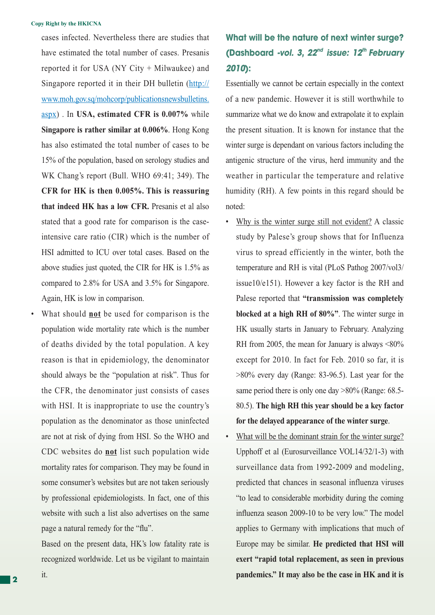cases infected. Nevertheless there are studies that have estimated the total number of cases. Presanis reported it for USA (NY City + Milwaukee) and Singapore reported it in their DH bulletin (http:// www.moh.gov.sq/mohcorp/publicationsnewsbulletins. aspx) . In **USA, estimated CFR is 0.007%** while **Singapore is rather similar at 0.006%**. Hong Kong has also estimated the total number of cases to be 15% of the population, based on serology studies and WK Chang's report (Bull. WHO 69:41; 349). The **CFR for HK is then 0.005%. This is reassuring that indeed HK has a low CFR.** Presanis et al also stated that a good rate for comparison is the caseintensive care ratio (CIR) which is the number of HSI admitted to ICU over total cases. Based on the above studies just quoted, the CIR for HK is 1.5% as compared to 2.8% for USA and 3.5% for Singapore. Again, HK is low in comparison.

• What should **not** be used for comparison is the population wide mortality rate which is the number of deaths divided by the total population. A key reason is that in epidemiology, the denominator should always be the "population at risk". Thus for the CFR, the denominator just consists of cases with HSI. It is inappropriate to use the country's population as the denominator as those uninfected are not at risk of dying from HSI. So the WHO and CDC websites do **not** list such population wide mortality rates for comparison. They may be found in some consumer's websites but are not taken seriously by professional epidemiologists. In fact, one of this website with such a list also advertises on the same page a natural remedy for the "flu".

 Based on the present data, HK's low fatality rate is recognized worldwide. Let us be vigilant to maintain

#### **What will be the nature of next winter surge? (Dashboard** *-vol. 3, 22nd issue: 12th February 2010***):**

Essentially we cannot be certain especially in the context of a new pandemic. However it is still worthwhile to summarize what we do know and extrapolate it to explain the present situation. It is known for instance that the winter surge is dependant on various factors including the antigenic structure of the virus, herd immunity and the weather in particular the temperature and relative humidity (RH). A few points in this regard should be noted:

- Why is the winter surge still not evident? A classic study by Palese's group shows that for Influenza virus to spread efficiently in the winter, both the temperature and RH is vital (PLoS Pathog 2007/vol3/ issue10/e151). However a key factor is the RH and Palese reported that **"transmission was completely blocked at a high RH of 80%"**. The winter surge in HK usually starts in January to February. Analyzing RH from 2005, the mean for January is always <80% except for 2010. In fact for Feb. 2010 so far, it is >80% every day (Range: 83-96.5). Last year for the same period there is only one day  $>80\%$  (Range: 68.5-80.5). **The high RH this year should be a key factor for the delayed appearance of the winter surge**.
- What will be the dominant strain for the winter surge? Upphoff et al (Eurosurveillance VOL14/32/1-3) with surveillance data from 1992-2009 and modeling, predicted that chances in seasonal influenza viruses "to lead to considerable morbidity during the coming influenza season 2009-10 to be very low." The model applies to Germany with implications that much of Europe may be similar. **He predicted that HSI will exert "rapid total replacement, as seen in previous pandemics." It may also be the case in HK and it is**

it.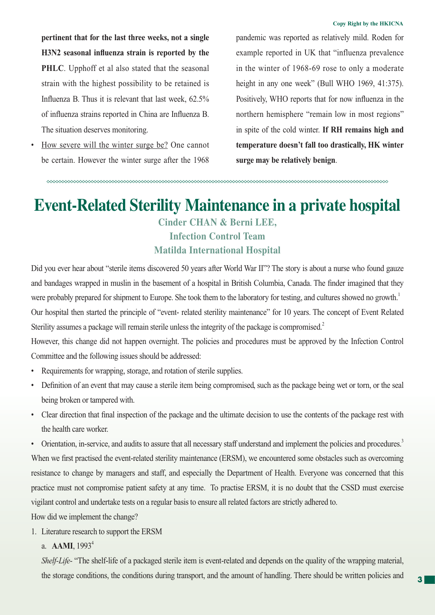**pertinent that for the last three weeks, not a single**  H3N2 seasonal influenza strain is reported by the **PHLC**. Upphoff et al also stated that the seasonal strain with the highest possibility to be retained is Influenza B. Thus it is relevant that last week,  $62.5\%$ of influenza strains reported in China are Influenza B. The situation deserves monitoring.

How severe will the winter surge be? One cannot be certain. However the winter surge after the 1968 pandemic was reported as relatively mild. Roden for example reported in UK that "influenza prevalence in the winter of 1968-69 rose to only a moderate height in any one week" (Bull WHO 1969, 41:375). Positively, WHO reports that for now influenza in the northern hemisphere "remain low in most regions" in spite of the cold winter. **If RH remains high and temperature doesn't fall too drastically, HK winter surge may be relatively benign**.

### **Event-Related Sterility Maintenance in a private hospital**

#### **Cinder CHAN & Berni LEE, Infection Control Team Matilda International Hospital**

Did you ever hear about "sterile items discovered 50 years after World War II"? The story is about a nurse who found gauze and bandages wrapped in muslin in the basement of a hospital in British Columbia, Canada. The finder imagined that they were probably prepared for shipment to Europe. She took them to the laboratory for testing, and cultures showed no growth.<sup>1</sup> Our hospital then started the principle of "event- related sterility maintenance" for 10 years. The concept of Event Related Sterility assumes a package will remain sterile unless the integrity of the package is compromised.<sup>2</sup>

However, this change did not happen overnight. The policies and procedures must be approved by the Infection Control Committee and the following issues should be addressed:

- Requirements for wrapping, storage, and rotation of sterile supplies.
- Definition of an event that may cause a sterile item being compromised, such as the package being wet or torn, or the seal being broken or tampered with.
- Clear direction that final inspection of the package and the ultimate decision to use the contents of the package rest with the health care worker.

Orientation, in-service, and audits to assure that all necessary staff understand and implement the policies and procedures.<sup>3</sup> When we first practised the event-related sterility maintenance (ERSM), we encountered some obstacles such as overcoming resistance to change by managers and staff, and especially the Department of Health. Everyone was concerned that this practice must not compromise patient safety at any time. To practise ERSM, it is no doubt that the CSSD must exercise vigilant control and undertake tests on a regular basis to ensure all related factors are strictly adhered to.

How did we implement the change?

- 1. Literature research to support the ERSM
	- a. **AAMI**, 1993<sup>4</sup>

 *Shelf-Life-* "The shelf-life of a packaged sterile item is event-related and depends on the quality of the wrapping material, the storage conditions, the conditions during transport, and the amount of handling. There should be written policies and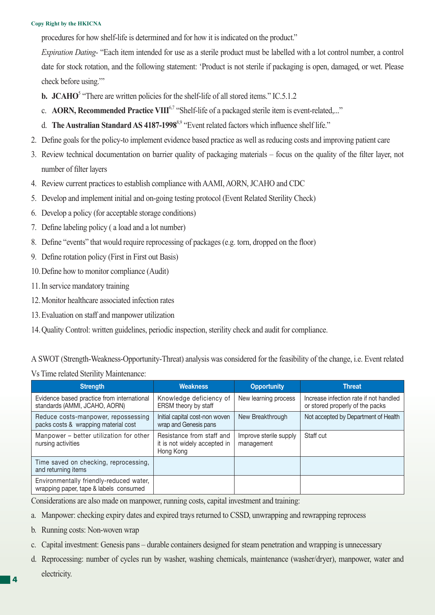#### **Copy Right by the HKICNA**

procedures for how shelf-life is determined and for how it is indicated on the product."

*Expiration Dating-* "Each item intended for use as a sterile product must be labelled with a lot control number, a control date for stock rotation, and the following statement: 'Product is not sterile if packaging is open, damaged, or wet. Please check before using.'"

- **b.** JCAHO<sup>5</sup> "There are written policies for the shelf-life of all stored items." IC.5.1.2
	- c. **AORN, Recommended Practice VIII<sup>6,7</sup>** "Shelf-life of a packaged sterile item is event-related...."
	- d. **The Australian Standard AS 4187-1998**<sup>8,9</sup> "Event related factors which influence shelf life."
- 2. Define goals for the policy-to implement evidence based practice as well as reducing costs and improving patient care
- 3. Review technical documentation on barrier quality of packaging materials focus on the quality of the filter layer, not number of filter layers
- 4. Review current practices to establish compliance with AAMI, AORN, JCAHO and CDC
- 5. Develop and implement initial and on-going testing protocol (Event Related Sterility Check)
- 6. Develop a policy (for acceptable storage conditions)
- 7. Define labeling policy (a load and a lot number)
- 8. Define "events" that would require reprocessing of packages (e.g. torn, dropped on the floor)
- 9. Define rotation policy (First in First out Basis)
- 10. Define how to monitor compliance (Audit)
- 11. In service mandatory training
- 12. Monitor healthcare associated infection rates
- 13. Evaluation on staff and manpower utilization
- 14. Quality Control: written guidelines, periodic inspection, sterility check and audit for compliance.

A SWOT (Strength-Weakness-Opportunity-Threat) analysis was considered for the feasibility of the change, i.e. Event related

Vs Time related Sterility Maintenance:

| <b>Strength</b>                                                                   | <b>Weakness</b>                                                        | <b>Opportunity</b>                   | <b>Threat</b>                                                             |
|-----------------------------------------------------------------------------------|------------------------------------------------------------------------|--------------------------------------|---------------------------------------------------------------------------|
| Evidence based practice from international<br>standards (AMMI, JCAHO, AORN)       | Knowledge deficiency of<br>ERSM theory by staff                        | New learning process                 | Increase infection rate if not handled<br>or stored properly of the packs |
| Reduce costs-manpower, repossessing<br>packs costs & wrapping material cost       | Initial capital cost-non woven<br>wrap and Genesis pans                | New Breakthrough                     | Not accepted by Department of Health                                      |
| Manpower – better utilization for other<br>nursing activities                     | Resistance from staff and<br>it is not widely accepted in<br>Hong Kong | Improve sterile supply<br>management | Staff cut                                                                 |
| Time saved on checking, reprocessing,<br>and returning items                      |                                                                        |                                      |                                                                           |
| Environmentally friendly-reduced water,<br>wrapping paper, tape & labels consumed |                                                                        |                                      |                                                                           |

Considerations are also made on manpower, running costs, capital investment and training:

- a. Manpower: checking expiry dates and expired trays returned to CSSD, unwrapping and rewrapping reprocess
- b. Running costs: Non-woven wrap
- c. Capital investment: Genesis pans durable containers designed for steam penetration and wrapping is unnecessary
- d. Reprocessing: number of cycles run by washer, washing chemicals, maintenance (washer/dryer), manpower, water and electricity.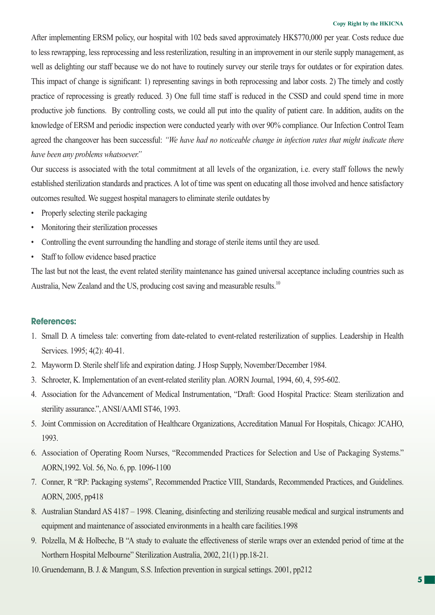#### **Copy Right by the HKICNA**

After implementing ERSM policy, our hospital with 102 beds saved approximately HK\$770,000 per year. Costs reduce due to less rewrapping, less reprocessing and less resterilization, resulting in an improvement in our sterile supply management, as well as delighting our staff because we do not have to routinely survey our sterile trays for outdates or for expiration dates. This impact of change is significant: 1) representing savings in both reprocessing and labor costs. 2) The timely and costly practice of reprocessing is greatly reduced. 3) One full time staff is reduced in the CSSD and could spend time in more productive job functions. By controlling costs, we could all put into the quality of patient care. In addition, audits on the knowledge of ERSM and periodic inspection were conducted yearly with over 90% compliance. Our Infection Control Team agreed the changeover has been successful: *"We have had no noticeable change in infection rates that might indicate there have been any problems whatsoever."*

Our success is associated with the total commitment at all levels of the organization, i.e. every staff follows the newly established sterilization standards and practices. A lot of time was spent on educating all those involved and hence satisfactory outcomes resulted. We suggest hospital managers to eliminate sterile outdates by

- Properly selecting sterile packaging
- Monitoring their sterilization processes
- Controlling the event surrounding the handling and storage of sterile items until they are used.
- Staff to follow evidence based practice

The last but not the least, the event related sterility maintenance has gained universal acceptance including countries such as Australia, New Zealand and the US, producing cost saving and measurable results.<sup>10</sup>

#### **References:**

- 1. Small D. A timeless tale: converting from date-related to event-related resterilization of supplies. Leadership in Health Services. 1995; 4(2): 40-41.
- 2. Mayworm D. Sterile shelf life and expiration dating. J Hosp Supply, November/December 1984.
- 3. Schroeter, K. Implementation of an event-related sterility plan. AORN Journal, 1994, 60, 4, 595-602.
- 4. Association for the Advancement of Medical Instrumentation, "Draft: Good Hospital Practice: Steam sterilization and sterility assurance.", ANSI/AAMI ST46, 1993.
- 5. Joint Commission on Accreditation of Healthcare Organizations, Accreditation Manual For Hospitals, Chicago: JCAHO, 1993.
- 6. Association of Operating Room Nurses, "Recommended Practices for Selection and Use of Packaging Systems." AORN,1992. Vol. 56, No. 6, pp. 1096-1100
- 7. Conner, R "RP: Packaging systems", Recommended Practice VIII, Standards, Recommended Practices, and Guidelines. AORN, 2005, pp418
- 8. Australian Standard AS 4187 1998. Cleaning, disinfecting and sterilizing reusable medical and surgical instruments and equipment and maintenance of associated environments in a health care facilities.1998
- 9. Polzella, M & Holbeche, B "A study to evaluate the effectiveness of sterile wraps over an extended period of time at the Northern Hospital Melbourne" Sterilization Australia, 2002, 21(1) pp.18-21.
- 10. Gruendemann, B. J. & Mangum, S.S. Infection prevention in surgical settings. 2001, pp212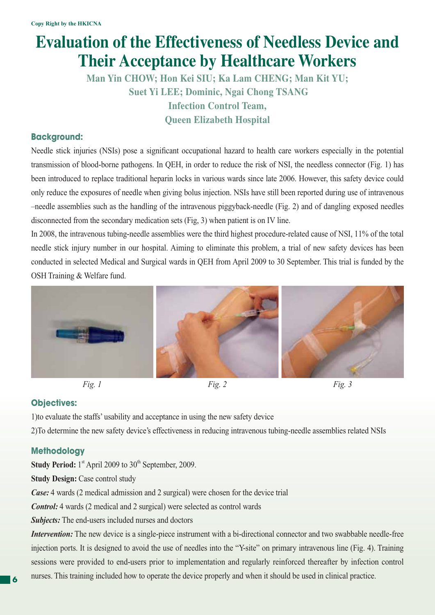### **Evaluation of the Effectiveness of Needless Device and Their Acceptance by Healthcare Workers**

**Man Yin CHOW; Hon Kei SIU; Ka Lam CHENG; Man Kit YU; Suet Yi LEE; Dominic, Ngai Chong TSANG Infection Control Team, Queen Elizabeth Hospital**

#### **Background:**

Needle stick injuries (NSIs) pose a significant occupational hazard to health care workers especially in the potential transmission of blood-borne pathogens. In QEH, in order to reduce the risk of NSI, the needless connector (Fig. 1) has been introduced to replace traditional heparin locks in various wards since late 2006. However, this safety device could only reduce the exposures of needle when giving bolus injection. NSIs have still been reported during use of intravenous –needle assemblies such as the handling of the intravenous piggyback-needle (Fig. 2) and of dangling exposed needles disconnected from the secondary medication sets (Fig, 3) when patient is on IV line.

In 2008, the intravenous tubing-needle assemblies were the third highest procedure-related cause of NSI, 11% of the total needle stick injury number in our hospital. Aiming to eliminate this problem, a trial of new safety devices has been conducted in selected Medical and Surgical wards in QEH from April 2009 to 30 September. This trial is funded by the OSH Training & Welfare fund.









#### **Objectives:**

1)to evaluate the staffs' usability and acceptance in using the new safety device 2)To determine the new safety device's effectiveness in reducing intravenous tubing-needle assemblies related NSIs

#### **Methodology**

**Study Period:** 1<sup>st</sup> April 2009 to 30<sup>th</sup> September, 2009.

**Study Design: Case control study** 

*Case:* 4 wards (2 medical admission and 2 surgical) were chosen for the device trial

*Control:* 4 wards (2 medical and 2 surgical) were selected as control wards

*Subjects:* The end-users included nurses and doctors

*Intervention:* The new device is a single-piece instrument with a bi-directional connector and two swabbable needle-free injection ports. It is designed to avoid the use of needles into the "Y-site" on primary intravenous line (Fig. 4). Training sessions were provided to end-users prior to implementation and regularly reinforced thereafter by infection control nurses. This training included how to operate the device properly and when it should be used in clinical practice.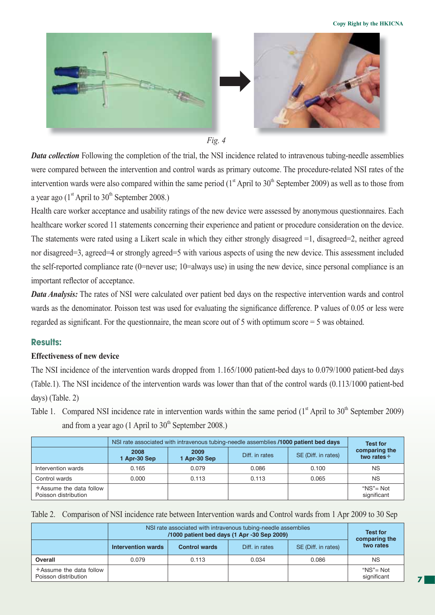



*Data collection* Following the completion of the trial, the NSI incidence related to intravenous tubing-needle assemblies were compared between the intervention and control wards as primary outcome. The procedure-related NSI rates of the intervention wards were also compared within the same period  $(1<sup>st</sup>$  April to  $30<sup>th</sup>$  September 2009) as well as to those from a year ago  $(1<sup>st</sup>$  April to  $30<sup>th</sup>$  September 2008.)

Health care worker acceptance and usability ratings of the new device were assessed by anonymous questionnaires. Each healthcare worker scored 11 statements concerning their experience and patient or procedure consideration on the device. The statements were rated using a Likert scale in which they either strongly disagreed =1, disagreed=2, neither agreed nor disagreed=3, agreed=4 or strongly agreed=5 with various aspects of using the new device. This assessment included the self-reported compliance rate (0=never use; 10=always use) in using the new device, since personal compliance is an important reflector of acceptance.

*Data Analysis:* The rates of NSI were calculated over patient bed days on the respective intervention wards and control wards as the denominator. Poisson test was used for evaluating the significance difference. P values of 0.05 or less were regarded as significant. For the questionnaire, the mean score out of 5 with optimum score  $=$  5 was obtained.

#### **Results:**

#### **Effectiveness of new device**

The NSI incidence of the intervention wards dropped from 1.165/1000 patient-bed days to 0.079/1000 patient-bed days (Table.1). The NSI incidence of the intervention wards was lower than that of the control wards (0.113/1000 patient-bed days) (Table. 2)

Table 1. Compared NSI incidence rate in intervention wards within the same period  $(1<sup>st</sup>$  April to  $30<sup>th</sup>$  September 2009) and from a year ago (1 April to  $30<sup>th</sup>$  September 2008.)

|                                                 | NSI rate associated with intravenous tubing-needle assemblies /1000 patient bed days |                      |                |                     | <b>Test for</b>                      |
|-------------------------------------------------|--------------------------------------------------------------------------------------|----------------------|----------------|---------------------|--------------------------------------|
|                                                 | 2008<br>1 Apr-30 Sep                                                                 | 2009<br>1 Apr-30 Sep | Diff. in rates | SE (Diff. in rates) | comparing the<br>two rates $\dagger$ |
| Intervention wards                              | 0.165                                                                                | 0.079                | 0.086          | 0.100               | <b>NS</b>                            |
| Control wards                                   | 0.000                                                                                | 0.113                | 0.113          | 0.065               | <b>NS</b>                            |
| *Assume the data follow<br>Poisson distribution |                                                                                      |                      |                |                     | " $NS" = Not$<br>significant         |

|  | Table 2. Comparison of NSI incidence rate between Intervention wards and Control wards from 1 Apr 2009 to 30 Sep |  |  |
|--|------------------------------------------------------------------------------------------------------------------|--|--|
|--|------------------------------------------------------------------------------------------------------------------|--|--|

|                                                 | NSI rate associated with intravenous tubing-needle assemblies<br>/1000 patient bed days (1 Apr -30 Sep 2009) |                      |                |                     | <b>Test for</b><br>comparing the |
|-------------------------------------------------|--------------------------------------------------------------------------------------------------------------|----------------------|----------------|---------------------|----------------------------------|
|                                                 | <b>Intervention wards</b>                                                                                    | <b>Control wards</b> | Diff. in rates | SE (Diff. in rates) | two rates                        |
| Overall                                         | 0.079                                                                                                        | 0.113                | 0.034          | 0.086               | NS.                              |
| *Assume the data follow<br>Poisson distribution |                                                                                                              |                      |                |                     | "NS"= Not<br>significant         |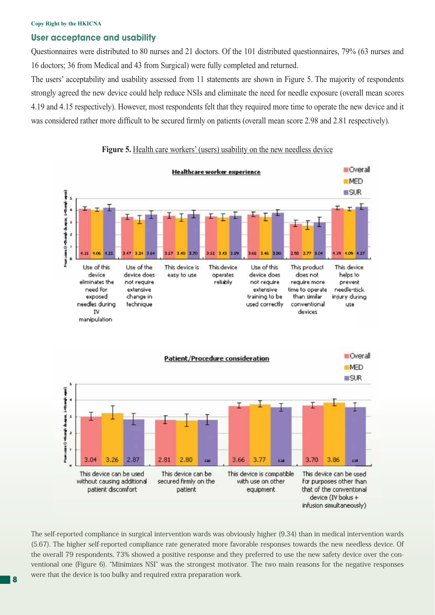#### **Copy Right by the HKICNA**

#### **User acceptance and usability**

Questionnaires were distributed to 80 nurses and 21 doctors. Of the 101 distributed questionnaires, 79% (63 nurses and 16 doctors; 36 from Medical and 43 from Surgical) were fully completed and returned.

The users' acceptability and usability assessed from 11 statements are shown in Figure 5. The majority of respondents strongly agreed the new device could help reduce NSIs and eliminate the need for needle exposure (overall mean scores 4.19 and 4.15 respectively). However, most respondents felt that they required more time to operate the new device and it was considered rather more difficult to be secured firmly on patients (overall mean score 2.98 and 2.81 respectively).







The self-reported compliance in surgical intervention wards was obviously higher (9.34) than in medical intervention wards (5.67). The higher self-reported compliance rate generated more favorable responses towards the new needless device. Of the overall 79 respondents, 73% showed a positive response and they preferred to use the new safety device over the conventional one (Figure 6). "Minimizes NSI" was the strongest motivator. The two main reasons for the negative responses were that the device is too bulky and required extra preparation work.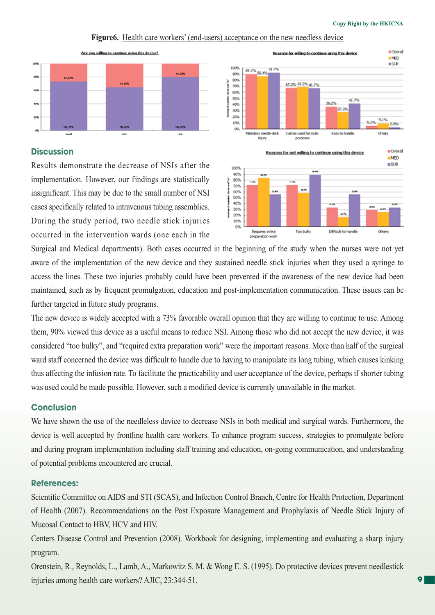

#### **Figure6.** Health care workers' (end-users) acceptance on the new needless device

#### **Discussion**

Results demonstrate the decrease of NSIs after the implementation. However, our findings are statistically insignificant. This may be due to the small number of NSI cases specifically related to intravenous tubing assemblies. During the study period, two needle stick injuries occurred in the intervention wards (one each in the



Surgical and Medical departments). Both cases occurred in the beginning of the study when the nurses were not yet aware of the implementation of the new device and they sustained needle stick injuries when they used a syringe to access the lines. These two injuries probably could have been prevented if the awareness of the new device had been maintained, such as by frequent promulgation, education and post-implementation communication. These issues can be further targeted in future study programs.

The new device is widely accepted with a 73% favorable overall opinion that they are willing to continue to use. Among them, 90% viewed this device as a useful means to reduce NSI. Among those who did not accept the new device, it was considered "too bulky", and "required extra preparation work" were the important reasons. More than half of the surgical ward staff concerned the device was difficult to handle due to having to manipulate its long tubing, which causes kinking thus affecting the infusion rate. To facilitate the practicability and user acceptance of the device, perhaps if shorter tubing was used could be made possible. However, such a modified device is currently unavailable in the market.

#### **Conclusion**

We have shown the use of the needleless device to decrease NSIs in both medical and surgical wards. Furthermore, the device is well accepted by frontline health care workers. To enhance program success, strategies to promulgate before and during program implementation including staff training and education, on-going communication, and understanding of potential problems encountered are crucial.

#### **References:**

Scientific Committee on AIDS and STI (SCAS), and Infection Control Branch, Centre for Health Protection, Department of Health (2007). Recommendations on the Post Exposure Management and Prophylaxis of Needle Stick Injury of Mucosal Contact to HBV, HCV and HIV.

Centers Disease Control and Prevention (2008). Workbook for designing, implementing and evaluating a sharp injury program.

Orenstein, R., Reynolds, L., Lamb, A., Markowitz S. M. & Wong E. S. (1995). Do protective devices prevent needlestick injuries among health care workers? AJIC, 23:344-51.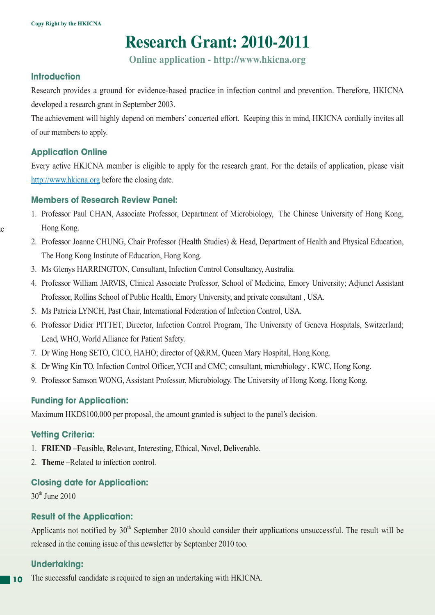### **Research Grant: 2010-2011**

**Online application - http://www.hkicna.org**

#### **Introduction**

Research provides a ground for evidence-based practice in infection control and prevention. Therefore, HKICNA developed a research grant in September 2003.

The achievement will highly depend on members' concerted effort. Keeping this in mind, HKICNA cordially invites all of our members to apply.

#### **Application Online**

le

Every active HKICNA member is eligible to apply for the research grant. For the details of application, please visit http://www.hkicna.org before the closing date.

#### **Members of Research Review Panel:**

- 1. Professor Paul CHAN, Associate Professor, Department of Microbiology, The Chinese University of Hong Kong, Hong Kong.
- 2. Professor Joanne CHUNG, Chair Professor (Health Studies) & Head, Department of Health and Physical Education, The Hong Kong Institute of Education, Hong Kong.
- 3. Ms Glenys HARRINGTON, Consultant, Infection Control Consultancy, Australia.
- 4. Professor William JARVIS, Clinical Associate Professor, School of Medicine, Emory University; Adjunct Assistant Professor, Rollins School of Public Health, Emory University, and private consultant , USA.
- 5. Ms Patricia LYNCH, Past Chair, International Federation of Infection Control, USA.
- 6. Professor Didier PITTET, Director, Infection Control Program, The University of Geneva Hospitals, Switzerland; Lead, WHO, World Alliance for Patient Safety.
- 7. Dr Wing Hong SETO, CICO, HAHO; director of Q&RM, Queen Mary Hospital, Hong Kong.
- 8. Dr Wing Kin TO, Infection Control Officer, YCH and CMC; consultant, microbiology, KWC, Hong Kong.
- 9. Professor Samson WONG, Assistant Professor, Microbiology. The University of Hong Kong, Hong Kong.

#### **Funding for Application:**

Maximum HKD\$100,000 per proposal, the amount granted is subject to the panel's decision.

#### **Vetting Criteria:**

- 1. **FRIEND –F**easible, **R**elevant, **I**nteresting, **E**thical, **N**ovel, **D**eliverable.
- 2. **Theme –**Related to infection control.

#### **Closing date for Application:**

30th June 2010

#### **Result of the Application:**

Applicants not notified by  $30<sup>th</sup>$  September 2010 should consider their applications unsuccessful. The result will be released in the coming issue of this newsletter by September 2010 too.

#### **Undertaking:**

**10** The successful candidate is required to sign an undertaking with HKICNA.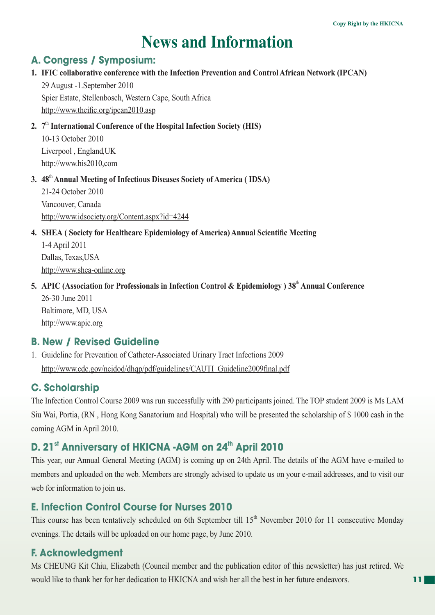## **News and Information**

#### **A. Congress / Symposium:**

#### **1. IFIC collaborative conference with the Infection Prevention and Control African Network (IPCAN)**

 29 August -1.September 2010 Spier Estate, Stellenbosch, Western Cape, South Africa http://www.theific.org/ipcan2010.asp

#### **2. 7**th **International Conference of the Hospital Infection Society (HIS)**

 10-13 October 2010 Liverpool , England,UK http://www.his2010,com

#### **3. 48**th **Annual Meeting of Infectious Diseases Society of America ( IDSA)**

 21-24 October 2010 Vancouver, Canada http://www.idsociety.org/Content.aspx?id=4244

#### **4. SHEA ( Society for Healthcare Epidemiology of America) Annual Scientific Meeting**

 1-4 April 2011 Dallas, Texas,USA http://www.shea-online.org

**5. APIC (Association for Professionals in Infection Control & Epidemiology ) 38**th **Annual Conference** 26-30 June 2011 Baltimore, MD, USA http://www.apic.org

#### **B. New / Revised Guideline**

1. Guideline for Prevention of Catheter-Associated Urinary Tract Infections 2009 http://www.cdc.gov/ncidod/dhqp/pdf/guidelines/CAUTI\_Guideline2009final.pdf

#### **C. Scholarship**

The Infection Control Course 2009 was run successfully with 290 participants joined. The TOP student 2009 is Ms LAM Siu Wai, Portia, (RN , Hong Kong Sanatorium and Hospital) who will be presented the scholarship of \$ 1000 cash in the coming AGM in April 2010.

### **D. 21st Anniversary of HKICNA -AGM on 24<sup>th</sup> April 2010**

This year, our Annual General Meeting (AGM) is coming up on 24th April. The details of the AGM have e-mailed to members and uploaded on the web. Members are strongly advised to update us on your e-mail addresses, and to visit our web for information to join us.

#### **E. Infection Control Course for Nurses 2010**

This course has been tentatively scheduled on 6th September till 15<sup>th</sup> November 2010 for 11 consecutive Monday evenings. The details will be uploaded on our home page, by June 2010.

#### **F. Acknowledgment**

Ms CHEUNG Kit Chiu, Elizabeth (Council member and the publication editor of this newsletter) has just retired. We would like to thank her for her dedication to HKICNA and wish her all the best in her future endeavors.